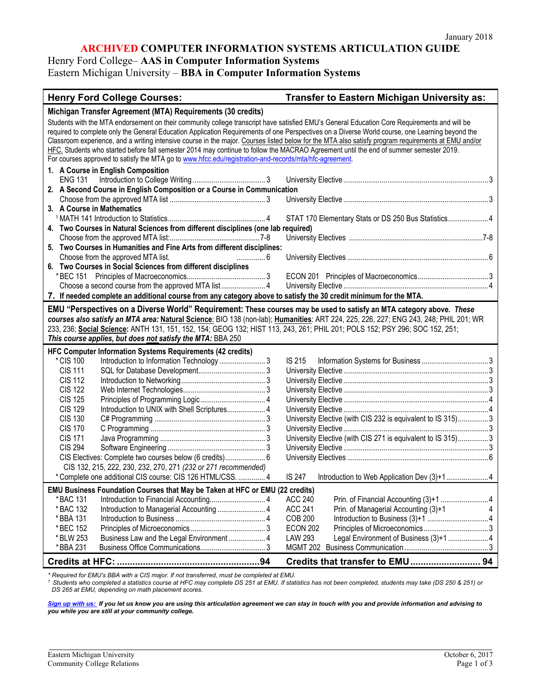#### **ARCHIVED COMPUTER INFORMATION SYSTEMS ARTICULATION GUIDE**

Henry Ford College– **AAS in Computer Information Systems**

Eastern Michigan University – **BBA in Computer Information Systems**

| Michigan Transfer Agreement (MTA) Requirements (30 credits)<br>Students with the MTA endorsement on their community college transcript have satisfied EMU's General Education Core Requirements and will be<br>required to complete only the General Education Application Requirements of one Perspectives on a Diverse World course, one Learning beyond the<br>Classroom experience, and a writing intensive course in the major. Courses listed below for the MTA also satisfy program requirements at EMU and/or<br>HFC. Students who started before fall semester 2014 may continue to follow the MACRAO Agreement until the end of summer semester 2019.<br>For courses approved to satisfy the MTA go to www.hfcc.edu/registration-and-records/mta/hfc-agreement.<br>1. A Course in English Composition<br>2. A Second Course in English Composition or a Course in Communication<br>3. A Course in Mathematics<br>STAT 170 Elementary Stats or DS 250 Bus Statistics4<br>4. Two Courses in Natural Sciences from different disciplines (one lab required)<br>5. Two Courses in Humanities and Fine Arts from different disciplines:<br>Choose from the approved MTA list.<br>. 6<br>6. Two Courses in Social Sciences from different disciplines<br>Choose a second course from the approved MTA list 4<br>7. If needed complete an additional course from any category above to satisfy the 30 credit minimum for the MTA.<br>EMU "Perspectives on a Diverse World" Requirement: These courses may be used to satisfy an MTA category above. These<br>courses also satisfy an MTA area: Natural Science: BIO 138 (non-lab); Humanities: ART 224, 225, 226, 227; ENG 243, 248; PHIL 201; WR<br>233, 236; Social Science: ANTH 131, 151, 152, 154; GEOG 132; HIST 113, 243, 261; PHIL 201; POLS 152; PSY 296; SOC 152, 251;<br>This course applies, but does not satisfy the MTA: BBA 250<br>HFC Computer Information Systems Requirements (42 credits)<br>*CIS 100<br><b>IS 215</b><br><b>CIS 111</b><br><b>CIS 112</b><br><b>CIS 122</b><br><b>CIS 125</b><br>Introduction to UNIX with Shell Scriptures 4<br><b>CIS 129</b><br>University Elective (with CIS 232 is equivalent to IS 315)3<br><b>CIS 130</b><br><b>CIS 170</b><br>University Elective (with CIS 271 is equivalent to IS 315)3<br><b>CIS 171</b><br><b>CIS 294</b><br>CIS Electives: Complete two courses below (6 credits) 6<br>CIS 132, 215, 222, 230, 232, 270, 271 (232 or 271 recommended)<br>* Complete one additional CIS course: CIS 126 HTML/CSS.  4<br><b>IS 247</b><br>Introduction to Web Application Dev (3)+14<br><b>EMU Business Foundation Courses that May be Taken at HFC or EMU (22 credits)</b><br>*BAC 131<br>ACC 240<br>Introduction to Managerial Accounting  4<br><b>ACC 241</b><br>* BAC 132<br>Prin. of Managerial Accounting (3)+1<br><b>COB 200</b><br>* BBA 131<br><b>ECON 202</b><br>* BEC 152<br>LAW 293<br>Legal Environment of Business (3)+1 4<br>* BLW 253<br>Business Law and the Legal Environment  4<br>*BBA 231 | <b>Henry Ford College Courses:</b> | <b>Transfer to Eastern Michigan University as:</b> |
|----------------------------------------------------------------------------------------------------------------------------------------------------------------------------------------------------------------------------------------------------------------------------------------------------------------------------------------------------------------------------------------------------------------------------------------------------------------------------------------------------------------------------------------------------------------------------------------------------------------------------------------------------------------------------------------------------------------------------------------------------------------------------------------------------------------------------------------------------------------------------------------------------------------------------------------------------------------------------------------------------------------------------------------------------------------------------------------------------------------------------------------------------------------------------------------------------------------------------------------------------------------------------------------------------------------------------------------------------------------------------------------------------------------------------------------------------------------------------------------------------------------------------------------------------------------------------------------------------------------------------------------------------------------------------------------------------------------------------------------------------------------------------------------------------------------------------------------------------------------------------------------------------------------------------------------------------------------------------------------------------------------------------------------------------------------------------------------------------------------------------------------------------------------------------------------------------------------------------------------------------------------------------------------------------------------------------------------------------------------------------------------------------------------------------------------------------------------------------------------------------------------------------------------------------------------------------------------------------------------------------------------------------------------------------------------------------------------------------------------------------------------------------------------------------------------------------------------------------------------------------------------------------------------------------------------------------------------------------------------------------------------------------------|------------------------------------|----------------------------------------------------|
|                                                                                                                                                                                                                                                                                                                                                                                                                                                                                                                                                                                                                                                                                                                                                                                                                                                                                                                                                                                                                                                                                                                                                                                                                                                                                                                                                                                                                                                                                                                                                                                                                                                                                                                                                                                                                                                                                                                                                                                                                                                                                                                                                                                                                                                                                                                                                                                                                                                                                                                                                                                                                                                                                                                                                                                                                                                                                                                                                                                                                                  |                                    |                                                    |
|                                                                                                                                                                                                                                                                                                                                                                                                                                                                                                                                                                                                                                                                                                                                                                                                                                                                                                                                                                                                                                                                                                                                                                                                                                                                                                                                                                                                                                                                                                                                                                                                                                                                                                                                                                                                                                                                                                                                                                                                                                                                                                                                                                                                                                                                                                                                                                                                                                                                                                                                                                                                                                                                                                                                                                                                                                                                                                                                                                                                                                  |                                    |                                                    |
|                                                                                                                                                                                                                                                                                                                                                                                                                                                                                                                                                                                                                                                                                                                                                                                                                                                                                                                                                                                                                                                                                                                                                                                                                                                                                                                                                                                                                                                                                                                                                                                                                                                                                                                                                                                                                                                                                                                                                                                                                                                                                                                                                                                                                                                                                                                                                                                                                                                                                                                                                                                                                                                                                                                                                                                                                                                                                                                                                                                                                                  |                                    |                                                    |
|                                                                                                                                                                                                                                                                                                                                                                                                                                                                                                                                                                                                                                                                                                                                                                                                                                                                                                                                                                                                                                                                                                                                                                                                                                                                                                                                                                                                                                                                                                                                                                                                                                                                                                                                                                                                                                                                                                                                                                                                                                                                                                                                                                                                                                                                                                                                                                                                                                                                                                                                                                                                                                                                                                                                                                                                                                                                                                                                                                                                                                  |                                    |                                                    |
|                                                                                                                                                                                                                                                                                                                                                                                                                                                                                                                                                                                                                                                                                                                                                                                                                                                                                                                                                                                                                                                                                                                                                                                                                                                                                                                                                                                                                                                                                                                                                                                                                                                                                                                                                                                                                                                                                                                                                                                                                                                                                                                                                                                                                                                                                                                                                                                                                                                                                                                                                                                                                                                                                                                                                                                                                                                                                                                                                                                                                                  |                                    |                                                    |
|                                                                                                                                                                                                                                                                                                                                                                                                                                                                                                                                                                                                                                                                                                                                                                                                                                                                                                                                                                                                                                                                                                                                                                                                                                                                                                                                                                                                                                                                                                                                                                                                                                                                                                                                                                                                                                                                                                                                                                                                                                                                                                                                                                                                                                                                                                                                                                                                                                                                                                                                                                                                                                                                                                                                                                                                                                                                                                                                                                                                                                  |                                    |                                                    |
|                                                                                                                                                                                                                                                                                                                                                                                                                                                                                                                                                                                                                                                                                                                                                                                                                                                                                                                                                                                                                                                                                                                                                                                                                                                                                                                                                                                                                                                                                                                                                                                                                                                                                                                                                                                                                                                                                                                                                                                                                                                                                                                                                                                                                                                                                                                                                                                                                                                                                                                                                                                                                                                                                                                                                                                                                                                                                                                                                                                                                                  |                                    |                                                    |
|                                                                                                                                                                                                                                                                                                                                                                                                                                                                                                                                                                                                                                                                                                                                                                                                                                                                                                                                                                                                                                                                                                                                                                                                                                                                                                                                                                                                                                                                                                                                                                                                                                                                                                                                                                                                                                                                                                                                                                                                                                                                                                                                                                                                                                                                                                                                                                                                                                                                                                                                                                                                                                                                                                                                                                                                                                                                                                                                                                                                                                  |                                    |                                                    |
|                                                                                                                                                                                                                                                                                                                                                                                                                                                                                                                                                                                                                                                                                                                                                                                                                                                                                                                                                                                                                                                                                                                                                                                                                                                                                                                                                                                                                                                                                                                                                                                                                                                                                                                                                                                                                                                                                                                                                                                                                                                                                                                                                                                                                                                                                                                                                                                                                                                                                                                                                                                                                                                                                                                                                                                                                                                                                                                                                                                                                                  |                                    |                                                    |
|                                                                                                                                                                                                                                                                                                                                                                                                                                                                                                                                                                                                                                                                                                                                                                                                                                                                                                                                                                                                                                                                                                                                                                                                                                                                                                                                                                                                                                                                                                                                                                                                                                                                                                                                                                                                                                                                                                                                                                                                                                                                                                                                                                                                                                                                                                                                                                                                                                                                                                                                                                                                                                                                                                                                                                                                                                                                                                                                                                                                                                  |                                    |                                                    |
|                                                                                                                                                                                                                                                                                                                                                                                                                                                                                                                                                                                                                                                                                                                                                                                                                                                                                                                                                                                                                                                                                                                                                                                                                                                                                                                                                                                                                                                                                                                                                                                                                                                                                                                                                                                                                                                                                                                                                                                                                                                                                                                                                                                                                                                                                                                                                                                                                                                                                                                                                                                                                                                                                                                                                                                                                                                                                                                                                                                                                                  |                                    |                                                    |
|                                                                                                                                                                                                                                                                                                                                                                                                                                                                                                                                                                                                                                                                                                                                                                                                                                                                                                                                                                                                                                                                                                                                                                                                                                                                                                                                                                                                                                                                                                                                                                                                                                                                                                                                                                                                                                                                                                                                                                                                                                                                                                                                                                                                                                                                                                                                                                                                                                                                                                                                                                                                                                                                                                                                                                                                                                                                                                                                                                                                                                  |                                    |                                                    |
|                                                                                                                                                                                                                                                                                                                                                                                                                                                                                                                                                                                                                                                                                                                                                                                                                                                                                                                                                                                                                                                                                                                                                                                                                                                                                                                                                                                                                                                                                                                                                                                                                                                                                                                                                                                                                                                                                                                                                                                                                                                                                                                                                                                                                                                                                                                                                                                                                                                                                                                                                                                                                                                                                                                                                                                                                                                                                                                                                                                                                                  |                                    |                                                    |
|                                                                                                                                                                                                                                                                                                                                                                                                                                                                                                                                                                                                                                                                                                                                                                                                                                                                                                                                                                                                                                                                                                                                                                                                                                                                                                                                                                                                                                                                                                                                                                                                                                                                                                                                                                                                                                                                                                                                                                                                                                                                                                                                                                                                                                                                                                                                                                                                                                                                                                                                                                                                                                                                                                                                                                                                                                                                                                                                                                                                                                  |                                    |                                                    |
|                                                                                                                                                                                                                                                                                                                                                                                                                                                                                                                                                                                                                                                                                                                                                                                                                                                                                                                                                                                                                                                                                                                                                                                                                                                                                                                                                                                                                                                                                                                                                                                                                                                                                                                                                                                                                                                                                                                                                                                                                                                                                                                                                                                                                                                                                                                                                                                                                                                                                                                                                                                                                                                                                                                                                                                                                                                                                                                                                                                                                                  |                                    |                                                    |
|                                                                                                                                                                                                                                                                                                                                                                                                                                                                                                                                                                                                                                                                                                                                                                                                                                                                                                                                                                                                                                                                                                                                                                                                                                                                                                                                                                                                                                                                                                                                                                                                                                                                                                                                                                                                                                                                                                                                                                                                                                                                                                                                                                                                                                                                                                                                                                                                                                                                                                                                                                                                                                                                                                                                                                                                                                                                                                                                                                                                                                  |                                    |                                                    |
|                                                                                                                                                                                                                                                                                                                                                                                                                                                                                                                                                                                                                                                                                                                                                                                                                                                                                                                                                                                                                                                                                                                                                                                                                                                                                                                                                                                                                                                                                                                                                                                                                                                                                                                                                                                                                                                                                                                                                                                                                                                                                                                                                                                                                                                                                                                                                                                                                                                                                                                                                                                                                                                                                                                                                                                                                                                                                                                                                                                                                                  |                                    |                                                    |
|                                                                                                                                                                                                                                                                                                                                                                                                                                                                                                                                                                                                                                                                                                                                                                                                                                                                                                                                                                                                                                                                                                                                                                                                                                                                                                                                                                                                                                                                                                                                                                                                                                                                                                                                                                                                                                                                                                                                                                                                                                                                                                                                                                                                                                                                                                                                                                                                                                                                                                                                                                                                                                                                                                                                                                                                                                                                                                                                                                                                                                  |                                    |                                                    |
|                                                                                                                                                                                                                                                                                                                                                                                                                                                                                                                                                                                                                                                                                                                                                                                                                                                                                                                                                                                                                                                                                                                                                                                                                                                                                                                                                                                                                                                                                                                                                                                                                                                                                                                                                                                                                                                                                                                                                                                                                                                                                                                                                                                                                                                                                                                                                                                                                                                                                                                                                                                                                                                                                                                                                                                                                                                                                                                                                                                                                                  |                                    |                                                    |
|                                                                                                                                                                                                                                                                                                                                                                                                                                                                                                                                                                                                                                                                                                                                                                                                                                                                                                                                                                                                                                                                                                                                                                                                                                                                                                                                                                                                                                                                                                                                                                                                                                                                                                                                                                                                                                                                                                                                                                                                                                                                                                                                                                                                                                                                                                                                                                                                                                                                                                                                                                                                                                                                                                                                                                                                                                                                                                                                                                                                                                  |                                    |                                                    |
|                                                                                                                                                                                                                                                                                                                                                                                                                                                                                                                                                                                                                                                                                                                                                                                                                                                                                                                                                                                                                                                                                                                                                                                                                                                                                                                                                                                                                                                                                                                                                                                                                                                                                                                                                                                                                                                                                                                                                                                                                                                                                                                                                                                                                                                                                                                                                                                                                                                                                                                                                                                                                                                                                                                                                                                                                                                                                                                                                                                                                                  |                                    |                                                    |
|                                                                                                                                                                                                                                                                                                                                                                                                                                                                                                                                                                                                                                                                                                                                                                                                                                                                                                                                                                                                                                                                                                                                                                                                                                                                                                                                                                                                                                                                                                                                                                                                                                                                                                                                                                                                                                                                                                                                                                                                                                                                                                                                                                                                                                                                                                                                                                                                                                                                                                                                                                                                                                                                                                                                                                                                                                                                                                                                                                                                                                  |                                    |                                                    |
|                                                                                                                                                                                                                                                                                                                                                                                                                                                                                                                                                                                                                                                                                                                                                                                                                                                                                                                                                                                                                                                                                                                                                                                                                                                                                                                                                                                                                                                                                                                                                                                                                                                                                                                                                                                                                                                                                                                                                                                                                                                                                                                                                                                                                                                                                                                                                                                                                                                                                                                                                                                                                                                                                                                                                                                                                                                                                                                                                                                                                                  |                                    |                                                    |
|                                                                                                                                                                                                                                                                                                                                                                                                                                                                                                                                                                                                                                                                                                                                                                                                                                                                                                                                                                                                                                                                                                                                                                                                                                                                                                                                                                                                                                                                                                                                                                                                                                                                                                                                                                                                                                                                                                                                                                                                                                                                                                                                                                                                                                                                                                                                                                                                                                                                                                                                                                                                                                                                                                                                                                                                                                                                                                                                                                                                                                  |                                    |                                                    |
|                                                                                                                                                                                                                                                                                                                                                                                                                                                                                                                                                                                                                                                                                                                                                                                                                                                                                                                                                                                                                                                                                                                                                                                                                                                                                                                                                                                                                                                                                                                                                                                                                                                                                                                                                                                                                                                                                                                                                                                                                                                                                                                                                                                                                                                                                                                                                                                                                                                                                                                                                                                                                                                                                                                                                                                                                                                                                                                                                                                                                                  |                                    |                                                    |
|                                                                                                                                                                                                                                                                                                                                                                                                                                                                                                                                                                                                                                                                                                                                                                                                                                                                                                                                                                                                                                                                                                                                                                                                                                                                                                                                                                                                                                                                                                                                                                                                                                                                                                                                                                                                                                                                                                                                                                                                                                                                                                                                                                                                                                                                                                                                                                                                                                                                                                                                                                                                                                                                                                                                                                                                                                                                                                                                                                                                                                  |                                    |                                                    |
|                                                                                                                                                                                                                                                                                                                                                                                                                                                                                                                                                                                                                                                                                                                                                                                                                                                                                                                                                                                                                                                                                                                                                                                                                                                                                                                                                                                                                                                                                                                                                                                                                                                                                                                                                                                                                                                                                                                                                                                                                                                                                                                                                                                                                                                                                                                                                                                                                                                                                                                                                                                                                                                                                                                                                                                                                                                                                                                                                                                                                                  |                                    |                                                    |
|                                                                                                                                                                                                                                                                                                                                                                                                                                                                                                                                                                                                                                                                                                                                                                                                                                                                                                                                                                                                                                                                                                                                                                                                                                                                                                                                                                                                                                                                                                                                                                                                                                                                                                                                                                                                                                                                                                                                                                                                                                                                                                                                                                                                                                                                                                                                                                                                                                                                                                                                                                                                                                                                                                                                                                                                                                                                                                                                                                                                                                  |                                    |                                                    |
|                                                                                                                                                                                                                                                                                                                                                                                                                                                                                                                                                                                                                                                                                                                                                                                                                                                                                                                                                                                                                                                                                                                                                                                                                                                                                                                                                                                                                                                                                                                                                                                                                                                                                                                                                                                                                                                                                                                                                                                                                                                                                                                                                                                                                                                                                                                                                                                                                                                                                                                                                                                                                                                                                                                                                                                                                                                                                                                                                                                                                                  |                                    |                                                    |
|                                                                                                                                                                                                                                                                                                                                                                                                                                                                                                                                                                                                                                                                                                                                                                                                                                                                                                                                                                                                                                                                                                                                                                                                                                                                                                                                                                                                                                                                                                                                                                                                                                                                                                                                                                                                                                                                                                                                                                                                                                                                                                                                                                                                                                                                                                                                                                                                                                                                                                                                                                                                                                                                                                                                                                                                                                                                                                                                                                                                                                  |                                    |                                                    |
|                                                                                                                                                                                                                                                                                                                                                                                                                                                                                                                                                                                                                                                                                                                                                                                                                                                                                                                                                                                                                                                                                                                                                                                                                                                                                                                                                                                                                                                                                                                                                                                                                                                                                                                                                                                                                                                                                                                                                                                                                                                                                                                                                                                                                                                                                                                                                                                                                                                                                                                                                                                                                                                                                                                                                                                                                                                                                                                                                                                                                                  |                                    |                                                    |
|                                                                                                                                                                                                                                                                                                                                                                                                                                                                                                                                                                                                                                                                                                                                                                                                                                                                                                                                                                                                                                                                                                                                                                                                                                                                                                                                                                                                                                                                                                                                                                                                                                                                                                                                                                                                                                                                                                                                                                                                                                                                                                                                                                                                                                                                                                                                                                                                                                                                                                                                                                                                                                                                                                                                                                                                                                                                                                                                                                                                                                  |                                    |                                                    |
|                                                                                                                                                                                                                                                                                                                                                                                                                                                                                                                                                                                                                                                                                                                                                                                                                                                                                                                                                                                                                                                                                                                                                                                                                                                                                                                                                                                                                                                                                                                                                                                                                                                                                                                                                                                                                                                                                                                                                                                                                                                                                                                                                                                                                                                                                                                                                                                                                                                                                                                                                                                                                                                                                                                                                                                                                                                                                                                                                                                                                                  |                                    |                                                    |
|                                                                                                                                                                                                                                                                                                                                                                                                                                                                                                                                                                                                                                                                                                                                                                                                                                                                                                                                                                                                                                                                                                                                                                                                                                                                                                                                                                                                                                                                                                                                                                                                                                                                                                                                                                                                                                                                                                                                                                                                                                                                                                                                                                                                                                                                                                                                                                                                                                                                                                                                                                                                                                                                                                                                                                                                                                                                                                                                                                                                                                  |                                    |                                                    |
|                                                                                                                                                                                                                                                                                                                                                                                                                                                                                                                                                                                                                                                                                                                                                                                                                                                                                                                                                                                                                                                                                                                                                                                                                                                                                                                                                                                                                                                                                                                                                                                                                                                                                                                                                                                                                                                                                                                                                                                                                                                                                                                                                                                                                                                                                                                                                                                                                                                                                                                                                                                                                                                                                                                                                                                                                                                                                                                                                                                                                                  |                                    |                                                    |
|                                                                                                                                                                                                                                                                                                                                                                                                                                                                                                                                                                                                                                                                                                                                                                                                                                                                                                                                                                                                                                                                                                                                                                                                                                                                                                                                                                                                                                                                                                                                                                                                                                                                                                                                                                                                                                                                                                                                                                                                                                                                                                                                                                                                                                                                                                                                                                                                                                                                                                                                                                                                                                                                                                                                                                                                                                                                                                                                                                                                                                  |                                    |                                                    |
|                                                                                                                                                                                                                                                                                                                                                                                                                                                                                                                                                                                                                                                                                                                                                                                                                                                                                                                                                                                                                                                                                                                                                                                                                                                                                                                                                                                                                                                                                                                                                                                                                                                                                                                                                                                                                                                                                                                                                                                                                                                                                                                                                                                                                                                                                                                                                                                                                                                                                                                                                                                                                                                                                                                                                                                                                                                                                                                                                                                                                                  |                                    |                                                    |
|                                                                                                                                                                                                                                                                                                                                                                                                                                                                                                                                                                                                                                                                                                                                                                                                                                                                                                                                                                                                                                                                                                                                                                                                                                                                                                                                                                                                                                                                                                                                                                                                                                                                                                                                                                                                                                                                                                                                                                                                                                                                                                                                                                                                                                                                                                                                                                                                                                                                                                                                                                                                                                                                                                                                                                                                                                                                                                                                                                                                                                  |                                    |                                                    |
|                                                                                                                                                                                                                                                                                                                                                                                                                                                                                                                                                                                                                                                                                                                                                                                                                                                                                                                                                                                                                                                                                                                                                                                                                                                                                                                                                                                                                                                                                                                                                                                                                                                                                                                                                                                                                                                                                                                                                                                                                                                                                                                                                                                                                                                                                                                                                                                                                                                                                                                                                                                                                                                                                                                                                                                                                                                                                                                                                                                                                                  |                                    |                                                    |
|                                                                                                                                                                                                                                                                                                                                                                                                                                                                                                                                                                                                                                                                                                                                                                                                                                                                                                                                                                                                                                                                                                                                                                                                                                                                                                                                                                                                                                                                                                                                                                                                                                                                                                                                                                                                                                                                                                                                                                                                                                                                                                                                                                                                                                                                                                                                                                                                                                                                                                                                                                                                                                                                                                                                                                                                                                                                                                                                                                                                                                  |                                    |                                                    |

\* Required for EMU's BBA with a CIS major. If not transferred, must be completed at EMU.<br>1 Students who completed a statistics course at HFC may complete DS 251 at EMU. If statistics has not been completed, students may ta *DS 265 at EMU, depending on math placement scores.*

*[Sign up with us: I](https://www.emich.edu/ccr/articulation-agreements/signup.php)f you let us know you are using this articulation agreement we can stay in touch with you and provide information and advising to you while you are still at your community college.*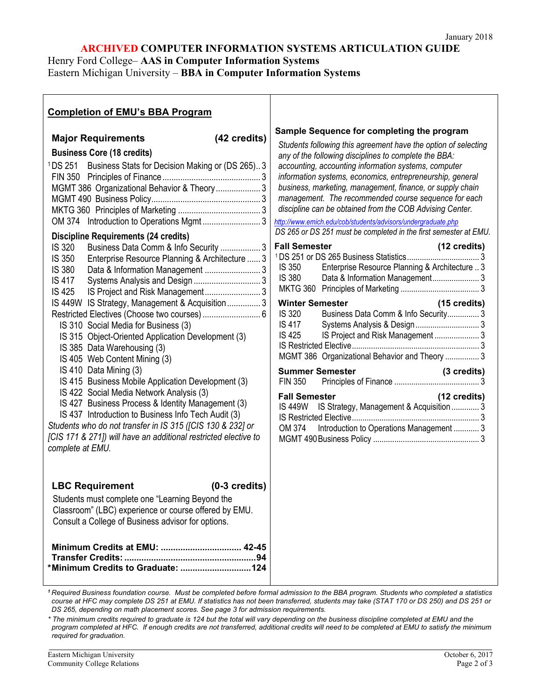## **ARCHIVED COMPUTER INFORMATION SYSTEMS ARTICULATION GUIDE**

Henry Ford College– **AAS in Computer Information Systems**

Eastern Michigan University – **BBA in Computer Information Systems**

| <b>Completion of EMU's BBA Program</b>                                                                                                                                                                                                                                                                                                                                                                                                                                                                                                                                                                                                                                                                                                                                                                                                                                                                                                                                                                                                                                          |                                                                                                                                                                                                                                                                                                                                                                                                                                                                                                                                                                                                                                                                                                                                                                                                                                                                                                                                                                                                                                                                                                                                                                                                              |
|---------------------------------------------------------------------------------------------------------------------------------------------------------------------------------------------------------------------------------------------------------------------------------------------------------------------------------------------------------------------------------------------------------------------------------------------------------------------------------------------------------------------------------------------------------------------------------------------------------------------------------------------------------------------------------------------------------------------------------------------------------------------------------------------------------------------------------------------------------------------------------------------------------------------------------------------------------------------------------------------------------------------------------------------------------------------------------|--------------------------------------------------------------------------------------------------------------------------------------------------------------------------------------------------------------------------------------------------------------------------------------------------------------------------------------------------------------------------------------------------------------------------------------------------------------------------------------------------------------------------------------------------------------------------------------------------------------------------------------------------------------------------------------------------------------------------------------------------------------------------------------------------------------------------------------------------------------------------------------------------------------------------------------------------------------------------------------------------------------------------------------------------------------------------------------------------------------------------------------------------------------------------------------------------------------|
| (42 credits)<br><b>Major Requirements</b><br><b>Business Core (18 credits)</b><br><sup>1</sup> DS 251<br>Business Stats for Decision Making or (DS 265)3<br>MGMT 386 Organizational Behavior & Theory  3<br><b>Discipline Requirements (24 credits)</b><br><b>IS 320</b><br>Business Data Comm & Info Security  3<br>IS 350<br>Enterprise Resource Planning & Architecture  3<br><b>IS 380</b><br><b>IS 417</b><br><b>IS 425</b><br>IS Project and Risk Management<br>IS 449W IS Strategy, Management & Acquisition3<br>IS 310 Social Media for Business (3)<br>IS 315 Object-Oriented Application Development (3)<br>IS 385 Data Warehousing (3)<br>IS 405 Web Content Mining (3)<br>IS 410 Data Mining (3)<br>IS 415 Business Mobile Application Development (3)<br>IS 422 Social Media Network Analysis (3)<br>IS 427 Business Process & Identity Management (3)<br>IS 437 Introduction to Business Info Tech Audit (3)<br>Students who do not transfer in IS 315 (JCIS 130 & 232) or<br>[CIS 171 & 271]) will have an additional restricted elective to<br>complete at EMU. | Sample Sequence for completing the program<br>Students following this agreement have the option of selecting<br>any of the following disciplines to complete the BBA:<br>accounting, accounting information systems, computer<br>information systems, economics, entrepreneurship, general<br>business, marketing, management, finance, or supply chain<br>management. The recommended course sequence for each<br>discipline can be obtained from the COB Advising Center.<br>http://www.emich.edu/cob/students/advisors/undergraduate.php<br>DS 265 or DS 251 must be completed in the first semester at EMU.<br><b>Fall Semester</b><br>(12 credits)<br><b>IS 350</b><br>Enterprise Resource Planning & Architecture  3<br><b>IS 380</b><br><b>Winter Semester</b><br>(15 credits)<br>Business Data Comm & Info Security 3<br><b>IS 320</b><br><b>IS 417</b><br>Systems Analysis & Design 3<br>IS Project and Risk Management  3<br>IS 425<br>MGMT 386 Organizational Behavior and Theory  3<br><b>Summer Semester</b><br>(3 credits)<br><b>FIN 350</b><br><b>Fall Semester</b><br>(12 credits)<br>IS 449W IS Strategy, Management & Acquisition  3<br>OM 374<br>Introduction to Operations Management  3 |
| <b>LBC Requirement</b><br>$(0-3$ credits)<br>Students must complete one "Learning Beyond the<br>Classroom" (LBC) experience or course offered by EMU.<br>Consult a College of Business advisor for options.<br>Minimum Credits at EMU:  42-45                                                                                                                                                                                                                                                                                                                                                                                                                                                                                                                                                                                                                                                                                                                                                                                                                                   |                                                                                                                                                                                                                                                                                                                                                                                                                                                                                                                                                                                                                                                                                                                                                                                                                                                                                                                                                                                                                                                                                                                                                                                                              |
| <sup>1</sup> Required Business foundation course. Must be completed before formal admission to the BBA program. Students who completed a statistics                                                                                                                                                                                                                                                                                                                                                                                                                                                                                                                                                                                                                                                                                                                                                                                                                                                                                                                             |                                                                                                                                                                                                                                                                                                                                                                                                                                                                                                                                                                                                                                                                                                                                                                                                                                                                                                                                                                                                                                                                                                                                                                                                              |

*course at HFC may complete DS 251 at EMU. If statistics has not been transferred, students may take (STAT 170 or DS 250) and DS 251 or DS 265, depending on math placement scores. See page 3 for admission requirements.*

*\* The minimum credits required to graduate is 124 but the total will vary depending on the business discipline completed at EMU and the program completed at HFC. If enough credits are not transferred, additional credits will need to be completed at EMU to satisfy the minimum required for graduation.*